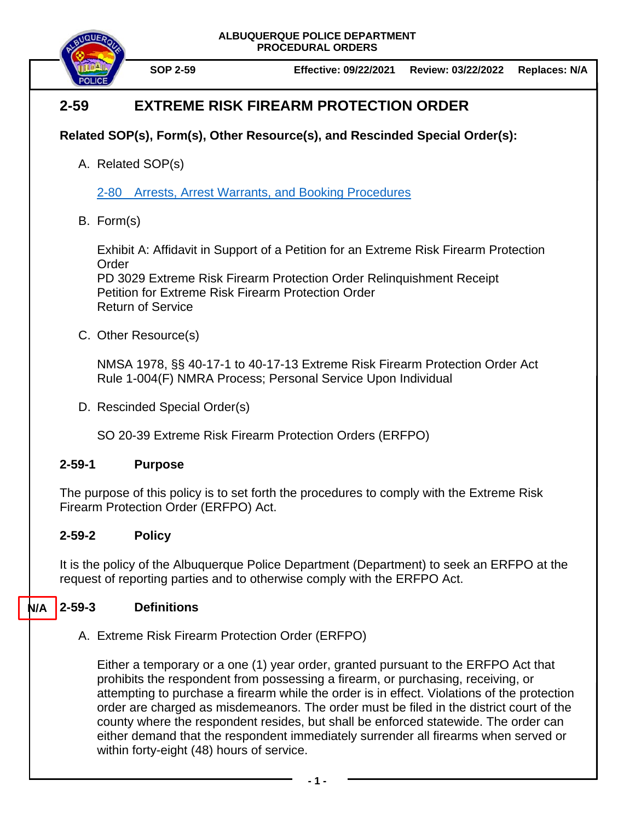**ALBUQUERQUE POLICE DEPARTMENT PROCEDURAL ORDERS**



**SOP 2-59 Effective: 09/22/2021 Review: 03/22/2022 Replaces: N/A**

## **2-59 EXTREME RISK FIREARM PROTECTION ORDER**

## **Related SOP(s), Form(s), Other Resource(s), and Rescinded Special Order(s):**

A. Related SOP(s)

2-80 [Arrests, Arrest Warrants, and Booking Procedures](https://powerdms.com/docs/97)

B. Form(s)

Exhibit A: Affidavit in Support of a Petition for an Extreme Risk Firearm Protection Order

PD 3029 Extreme Risk Firearm Protection Order Relinquishment Receipt Petition for Extreme Risk Firearm Protection Order Return of Service

C. Other Resource(s)

NMSA 1978, §§ 40-17-1 to 40-17-13 Extreme Risk Firearm Protection Order Act Rule 1-004(F) NMRA Process; Personal Service Upon Individual

D. Rescinded Special Order(s)

SO 20-39 Extreme Risk Firearm Protection Orders (ERFPO)

### **2-59-1 Purpose**

The purpose of this policy is to set forth the procedures to comply with the Extreme Risk Firearm Protection Order (ERFPO) Act.

## **2-59-2 Policy**

It is the policy of the Albuquerque Police Department (Department) to seek an ERFPO at the request of reporting parties and to otherwise comply with the ERFPO Act.

#### **2-59-3 Definitions N/A**

A. Extreme Risk Firearm Protection Order (ERFPO)

Either a temporary or a one (1) year order, granted pursuant to the ERFPO Act that prohibits the respondent from possessing a firearm, or purchasing, receiving, or attempting to purchase a firearm while the order is in effect. Violations of the protection order are charged as misdemeanors. The order must be filed in the district court of the county where the respondent resides, but shall be enforced statewide. The order can either demand that the respondent immediately surrender all firearms when served or within forty-eight (48) hours of service.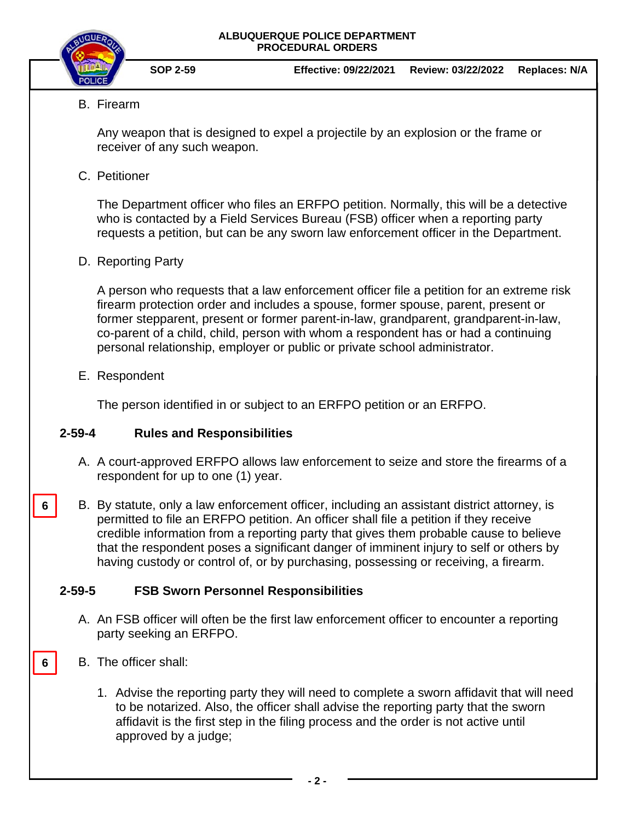



**SOP 2-59 Effective: 09/22/2021 Review: 03/22/2022 Replaces: N/A**

B. Firearm

Any weapon that is designed to expel a projectile by an explosion or the frame or receiver of any such weapon.

C. Petitioner

The Department officer who files an ERFPO petition. Normally, this will be a detective who is contacted by a Field Services Bureau (FSB) officer when a reporting party requests a petition, but can be any sworn law enforcement officer in the Department.

D. Reporting Party

A person who requests that a law enforcement officer file a petition for an extreme risk firearm protection order and includes a spouse, former spouse, parent, present or former stepparent, present or former parent-in-law, grandparent, grandparent-in-law, co-parent of a child, child, person with whom a respondent has or had a continuing personal relationship, employer or public or private school administrator.

E. Respondent

**6**

**6**

The person identified in or subject to an ERFPO petition or an ERFPO.

### **2-59-4 Rules and Responsibilities**

- A. A court-approved ERFPO allows law enforcement to seize and store the firearms of a respondent for up to one (1) year.
- B. By statute, only a law enforcement officer, including an assistant district attorney, is permitted to file an ERFPO petition. An officer shall file a petition if they receive credible information from a reporting party that gives them probable cause to believe that the respondent poses a significant danger of imminent injury to self or others by having custody or control of, or by purchasing, possessing or receiving, a firearm.

### **2-59-5 FSB Sworn Personnel Responsibilities**

- A. An FSB officer will often be the first law enforcement officer to encounter a reporting party seeking an ERFPO.
- B. The officer shall:
	- 1. Advise the reporting party they will need to complete a sworn affidavit that will need to be notarized. Also, the officer shall advise the reporting party that the sworn affidavit is the first step in the filing process and the order is not active until approved by a judge;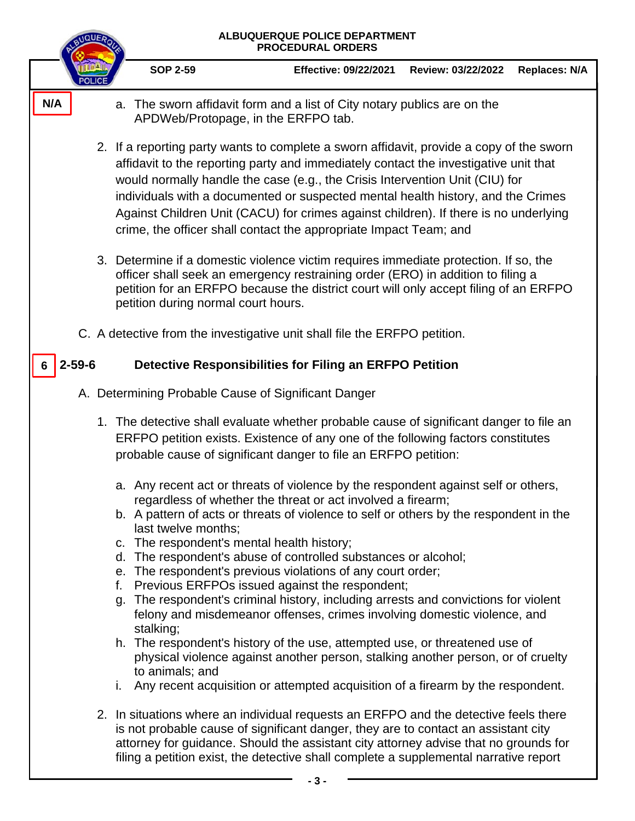| <b>ALBUQUERQUE POLICE DEPARTMENT</b><br><b>PROCEDURAL ORDERS</b>                                                                                                                                                                               |                                                                                                                                                                                                                                                                                                                                                                                                                                                                                                                                             |                                                                                                                                                                                                                                                                                                                                                                                                                              |                    |                      |
|------------------------------------------------------------------------------------------------------------------------------------------------------------------------------------------------------------------------------------------------|---------------------------------------------------------------------------------------------------------------------------------------------------------------------------------------------------------------------------------------------------------------------------------------------------------------------------------------------------------------------------------------------------------------------------------------------------------------------------------------------------------------------------------------------|------------------------------------------------------------------------------------------------------------------------------------------------------------------------------------------------------------------------------------------------------------------------------------------------------------------------------------------------------------------------------------------------------------------------------|--------------------|----------------------|
|                                                                                                                                                                                                                                                | <b>SOP 2-59</b>                                                                                                                                                                                                                                                                                                                                                                                                                                                                                                                             | <b>Effective: 09/22/2021</b>                                                                                                                                                                                                                                                                                                                                                                                                 | Review: 03/22/2022 | <b>Replaces: N/A</b> |
| N/A                                                                                                                                                                                                                                            | a. The sworn affidavit form and a list of City notary publics are on the<br>APDWeb/Protopage, in the ERFPO tab.                                                                                                                                                                                                                                                                                                                                                                                                                             |                                                                                                                                                                                                                                                                                                                                                                                                                              |                    |                      |
|                                                                                                                                                                                                                                                | 2. If a reporting party wants to complete a sworn affidavit, provide a copy of the sworn<br>affidavit to the reporting party and immediately contact the investigative unit that<br>would normally handle the case (e.g., the Crisis Intervention Unit (CIU) for<br>individuals with a documented or suspected mental health history, and the Crimes<br>Against Children Unit (CACU) for crimes against children). If there is no underlying<br>crime, the officer shall contact the appropriate Impact Team; and                           |                                                                                                                                                                                                                                                                                                                                                                                                                              |                    |                      |
|                                                                                                                                                                                                                                                | 3. Determine if a domestic violence victim requires immediate protection. If so, the<br>officer shall seek an emergency restraining order (ERO) in addition to filing a<br>petition for an ERFPO because the district court will only accept filing of an ERFPO<br>petition during normal court hours.                                                                                                                                                                                                                                      |                                                                                                                                                                                                                                                                                                                                                                                                                              |                    |                      |
| C. A detective from the investigative unit shall file the ERFPO petition.                                                                                                                                                                      |                                                                                                                                                                                                                                                                                                                                                                                                                                                                                                                                             |                                                                                                                                                                                                                                                                                                                                                                                                                              |                    |                      |
| $2 - 59 - 6$<br>6                                                                                                                                                                                                                              |                                                                                                                                                                                                                                                                                                                                                                                                                                                                                                                                             | Detective Responsibilities for Filing an ERFPO Petition                                                                                                                                                                                                                                                                                                                                                                      |                    |                      |
| A. Determining Probable Cause of Significant Danger                                                                                                                                                                                            |                                                                                                                                                                                                                                                                                                                                                                                                                                                                                                                                             |                                                                                                                                                                                                                                                                                                                                                                                                                              |                    |                      |
| 1. The detective shall evaluate whether probable cause of significant danger to file an<br>ERFPO petition exists. Existence of any one of the following factors constitutes<br>probable cause of significant danger to file an ERFPO petition: |                                                                                                                                                                                                                                                                                                                                                                                                                                                                                                                                             |                                                                                                                                                                                                                                                                                                                                                                                                                              |                    |                      |
|                                                                                                                                                                                                                                                | a. Any recent act or threats of violence by the respondent against self or others,<br>b. A pattern of acts or threats of violence to self or others by the respondent in the<br>last twelve months;<br>c. The respondent's mental health history;<br>d. The respondent's abuse of controlled substances or alcohol;<br>е.<br>f.<br>g. The respondent's criminal history, including arrests and convictions for violent<br>stalking;<br>h. The respondent's history of the use, attempted use, or threatened use of<br>to animals; and<br>i. | regardless of whether the threat or act involved a firearm;<br>The respondent's previous violations of any court order;<br>Previous ERFPOs issued against the respondent;<br>felony and misdemeanor offenses, crimes involving domestic violence, and<br>physical violence against another person, stalking another person, or of cruelty<br>Any recent acquisition or attempted acquisition of a firearm by the respondent. |                    |                      |
|                                                                                                                                                                                                                                                | 2. In situations where an individual requests an ERFPO and the detective feels there<br>is not probable cause of significant danger, they are to contact an assistant city<br>attorney for guidance. Should the assistant city attorney advise that no grounds for<br>filing a petition exist, the detective shall complete a supplemental narrative report                                                                                                                                                                                 |                                                                                                                                                                                                                                                                                                                                                                                                                              |                    |                      |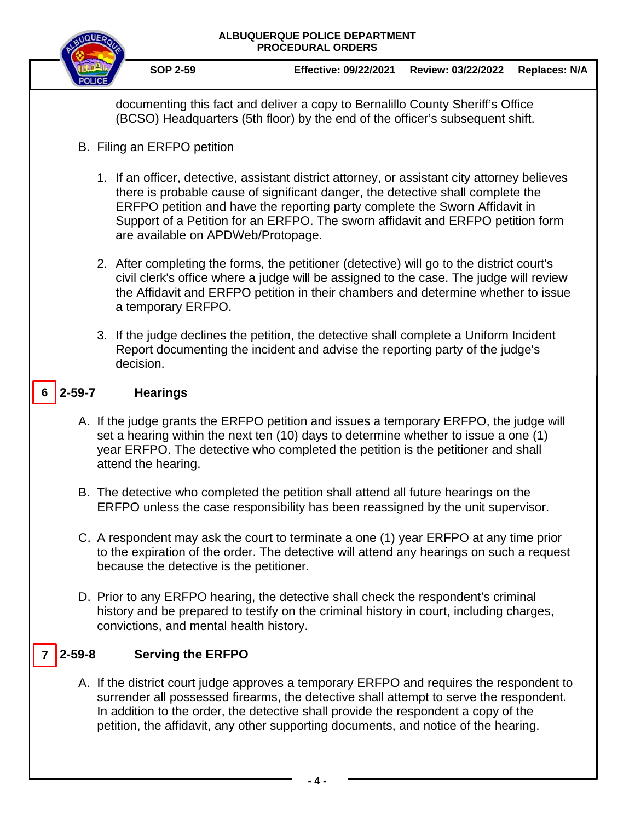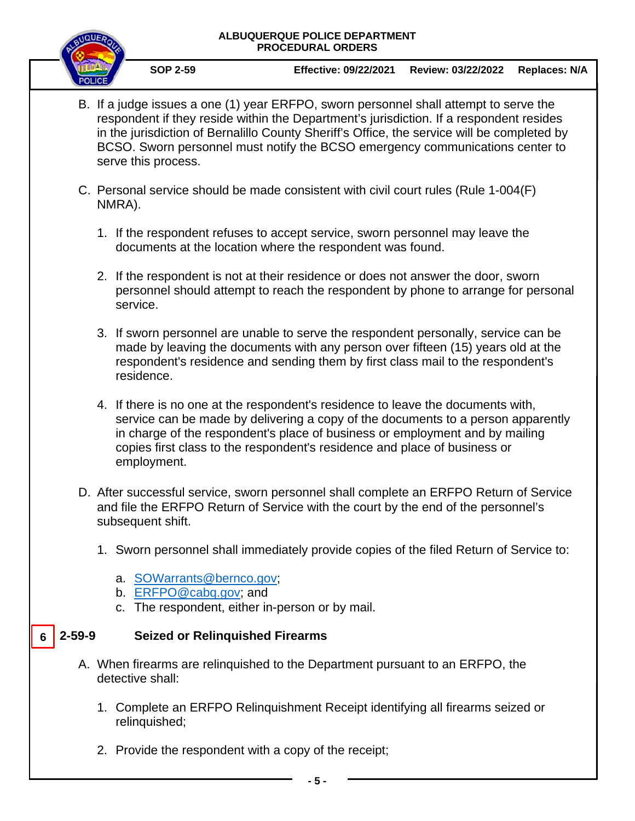#### **ALBUQUERQUE POLICE DEPARTMENT PROCEDURAL ORDERS**



**SOP 2-59 Effective: 09/22/2021 Review: 03/22/2022 Replaces: N/A**

- B. If a judge issues a one (1) year ERFPO, sworn personnel shall attempt to serve the respondent if they reside within the Department's jurisdiction. If a respondent resides in the jurisdiction of Bernalillo County Sheriff's Office, the service will be completed by BCSO. Sworn personnel must notify the BCSO emergency communications center to serve this process.
- C. Personal service should be made consistent with civil court rules (Rule 1-004(F) NMRA).
	- 1. If the respondent refuses to accept service, sworn personnel may leave the documents at the location where the respondent was found.
	- 2. If the respondent is not at their residence or does not answer the door, sworn personnel should attempt to reach the respondent by phone to arrange for personal service.
	- 3. If sworn personnel are unable to serve the respondent personally, service can be made by leaving the documents with any person over fifteen (15) years old at the respondent's residence and sending them by first class mail to the respondent's residence.
	- 4. If there is no one at the respondent's residence to leave the documents with, service can be made by delivering a copy of the documents to a person apparently in charge of the respondent's place of business or employment and by mailing copies first class to the respondent's residence and place of business or employment.
- D. After successful service, sworn personnel shall complete an ERFPO Return of Service and file the ERFPO Return of Service with the court by the end of the personnel's subsequent shift.
	- 1. Sworn personnel shall immediately provide copies of the filed Return of Service to:
		- a. [SOWarrants@bernco.gov;](mailto:SOWarrants@bernco.gov)
		- b. [ERFPO@cabq.gov;](mailto:ERFPO@cabq.gov) and
		- c. The respondent, either in-person or by mail.

#### **2-59-9 Seized or Relinquished Firearms 6**

- A. When firearms are relinquished to the Department pursuant to an ERFPO, the detective shall:
	- 1. Complete an ERFPO Relinquishment Receipt identifying all firearms seized or relinquished;
	- 2. Provide the respondent with a copy of the receipt;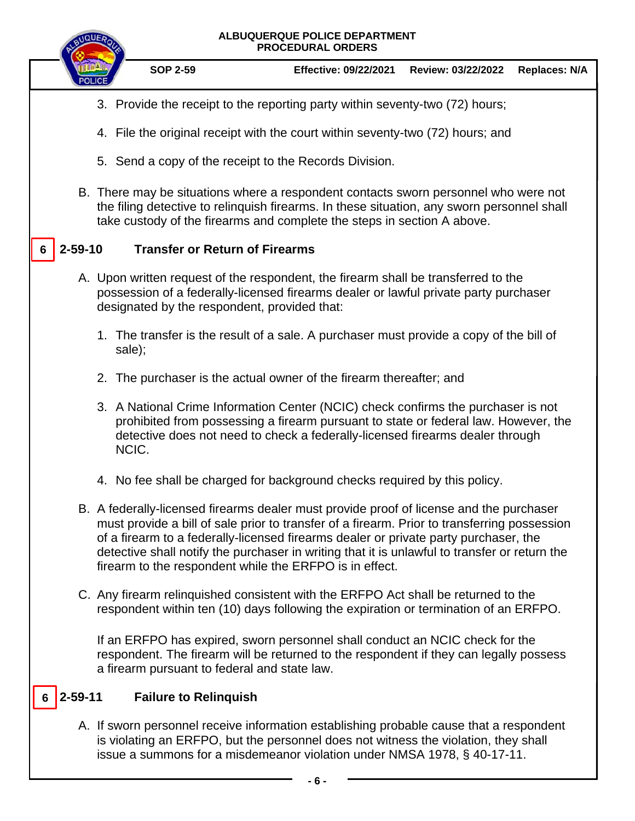# **ALBUQUERQUE POLICE DEPARTMENT PROCEDURAL ORDERS SOP 2-59 Effective: 09/22/2021 Review: 03/22/2022 Replaces: N/A** 3. Provide the receipt to the reporting party within seventy-two (72) hours; 4. File the original receipt with the court within seventy-two (72) hours; and 5. Send a copy of the receipt to the Records Division. B. There may be situations where a respondent contacts sworn personnel who were not the filing detective to relinquish firearms. In these situation, any sworn personnel shall take custody of the firearms and complete the steps in section A above. **2-59-10 Transfer or Return of Firearms** A. Upon written request of the respondent, the firearm shall be transferred to the possession of a federally-licensed firearms dealer or lawful private party purchaser designated by the respondent, provided that: 1. The transfer is the result of a sale. A purchaser must provide a copy of the bill of sale); 2. The purchaser is the actual owner of the firearm thereafter; and 3. A National Crime Information Center (NCIC) check confirms the purchaser is not prohibited from possessing a firearm pursuant to state or federal law. However, the detective does not need to check a federally-licensed firearms dealer through NCIC. 4. No fee shall be charged for background checks required by this policy. B. A federally-licensed firearms dealer must provide proof of license and the purchaser must provide a bill of sale prior to transfer of a firearm. Prior to transferring possession of a firearm to a federally-licensed firearms dealer or private party purchaser, the detective shall notify the purchaser in writing that it is unlawful to transfer or return the firearm to the respondent while the ERFPO is in effect. C. Any firearm relinquished consistent with the ERFPO Act shall be returned to the respondent within ten (10) days following the expiration or termination of an ERFPO. If an ERFPO has expired, sworn personnel shall conduct an NCIC check for the respondent. The firearm will be returned to the respondent if they can legally possess a firearm pursuant to federal and state law. **2-59-11 Failure to Relinquish** A. If sworn personnel receive information establishing probable cause that a respondent is violating an ERFPO, but the personnel does not witness the violation, they shall issue a summons for a misdemeanor violation under NMSA 1978, § 40-17-11. **6 6**